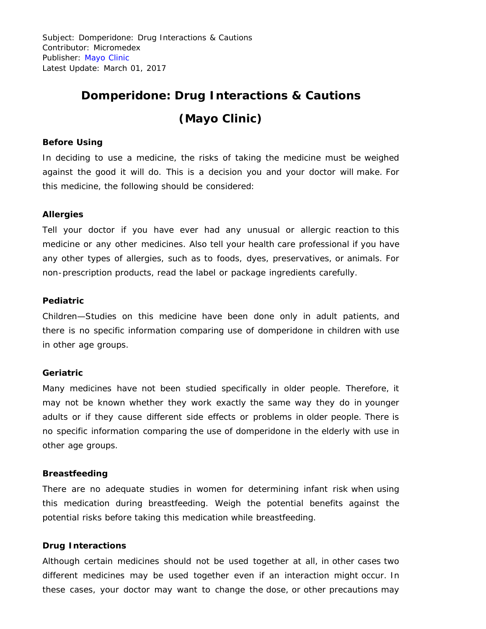Subject: Domperidone: Drug Interactions & Cautions Contributor: Micromedex Publisher: [Mayo Clinic](http://www.mayoclinic.org/) Latest Update: March 01, 2017

# **Domperidone: Drug Interactions & Cautions (Mayo Clinic)**

## **Before Using**

In deciding to use a medicine, the risks of taking the medicine must be weighed against the good it will do. This is a decision you and your doctor will make. For this medicine, the following should be considered:

### **Allergies**

Tell your doctor if you have ever had any unusual or allergic reaction to this medicine or any other medicines. Also tell your health care professional if you have any other types of allergies, such as to foods, dyes, preservatives, or animals. For non-prescription products, read the label or package ingredients carefully.

#### **Pediatric**

Children—Studies on this medicine have been done only in adult patients, and there is no specific information comparing use of domperidone in children with use in other age groups.

#### **Geriatric**

Many medicines have not been studied specifically in older people. Therefore, it may not be known whether they work exactly the same way they do in younger adults or if they cause different side effects or problems in older people. There is no specific information comparing the use of domperidone in the elderly with use in other age groups.

#### **Breastfeeding**

There are no adequate studies in women for determining infant risk when using this medication during breastfeeding. Weigh the potential benefits against the potential risks before taking this medication while breastfeeding.

## **Drug Interactions**

Although certain medicines should not be used together at all, in other cases two different medicines may be used together even if an interaction might occur. In these cases, your doctor may want to change the dose, or other precautions may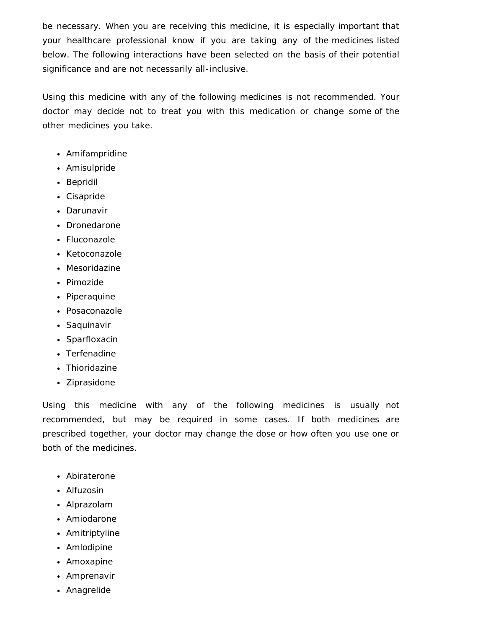be necessary. When you are receiving this medicine, it is especially important that your healthcare professional know if you are taking any of the medicines listed below. The following interactions have been selected on the basis of their potential significance and are not necessarily all-inclusive.

Using this medicine with any of the following medicines is not recommended. Your doctor may decide not to treat you with this medication or change some of the other medicines you take.

- Amifampridine
- Amisulpride
- Bepridil
- Cisapride
- Darunavir
- Dronedarone
- Fluconazole
- Ketoconazole
- Mesoridazine
- Pimozide
- Piperaquine
- Posaconazole
- Saquinavir
- Sparfloxacin
- Terfenadine
- Thioridazine
- Ziprasidone

Using this medicine with any of the following medicines is usually not recommended, but may be required in some cases. If both medicines are prescribed together, your doctor may change the dose or how often you use one or both of the medicines.

- Abiraterone
- Alfuzosin
- Alprazolam
- Amiodarone
- Amitriptyline
- Amlodipine
- Amoxapine
- Amprenavir
- Anagrelide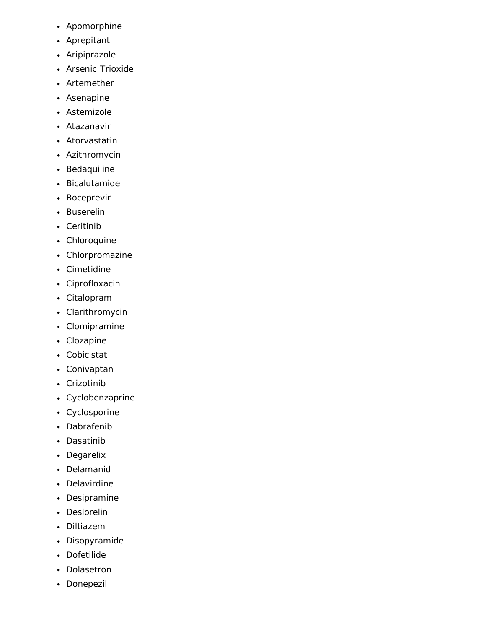- Apomorphine
- Aprepitant
- Aripiprazole
- Arsenic Trioxide
- Artemether
- Asenapine
- Astemizole
- Atazanavir  $\bullet$
- Atorvastatin
- Azithromycin
- Bedaquiline
- Bicalutamide
- Boceprevir
- Buserelin
- Ceritinib
- Chloroquine
- Chlorpromazine
- Cimetidine
- Ciprofloxacin
- Citalopram
- Clarithromycin
- Clomipramine
- Clozapine
- Cobicistat
- Conivaptan
- Crizotinib
- Cyclobenzaprine
- Cyclosporine
- Dabrafenib
- Dasatinib
- Degarelix
- Delamanid
- Delavirdine
- Desipramine
- Deslorelin
- Diltiazem
- Disopyramide
- Dofetilide
- Dolasetron
- Donepezil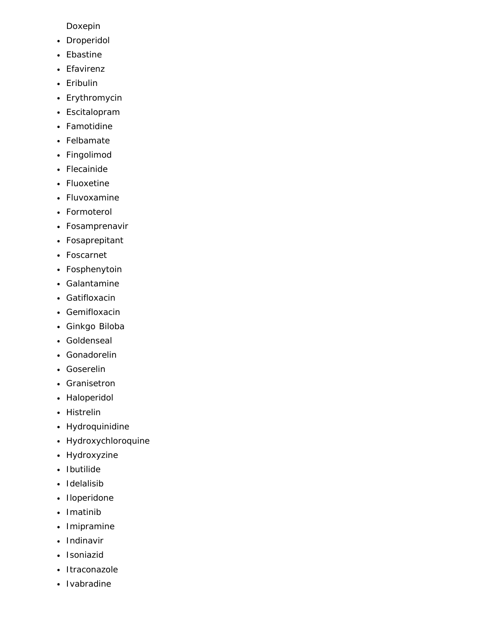Doxepin

- Droperidol
- Ebastine
- Efavirenz
- Eribulin
- Erythromycin
- Escitalopram
- Famotidine
- Felbamate
- Fingolimod
- Flecainide
- Fluoxetine
- Fluvoxamine
- Formoterol
- Fosamprenavir
- Fosaprepitant
- Foscarnet
- Fosphenytoin
- Galantamine
- Gatifloxacin
- Gemifloxacin
- Ginkgo Biloba
- Goldenseal
- Gonadorelin
- Goserelin
- Granisetron
- Haloperidol
- Histrelin
- Hydroquinidine
- Hydroxychloroquine
- Hydroxyzine
- Ibutilide
- Idelalisib
- Iloperidone  $\bullet$  .
- Imatinib
- Imipramine
- Indinavir
- Isoniazid
- Itraconazole  $\bullet$
- Ivabradine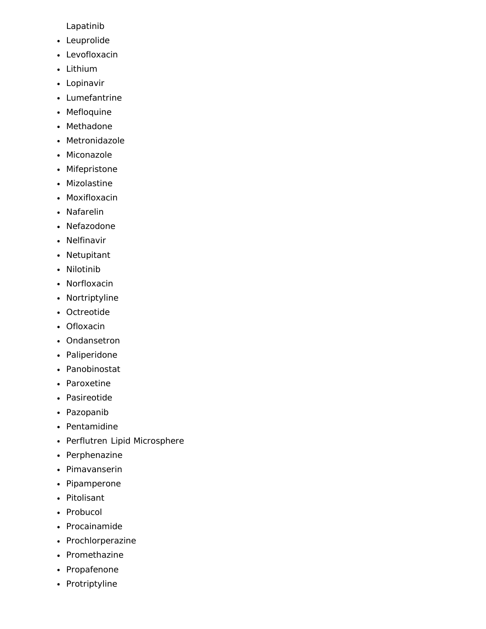Lapatinib

- Leuprolide
- Levofloxacin
- Lithium
- Lopinavir
- Lumefantrine
- Mefloquine
- Methadone
- Metronidazole
- Miconazole
- Mifepristone
- Mizolastine
- Moxifloxacin
- Nafarelin
- Nefazodone
- Nelfinavir
- Netupitant
- Nilotinib
- Norfloxacin
- Nortriptyline
- Octreotide
- Ofloxacin
- Ondansetron
- Paliperidone
- Panobinostat
- Paroxetine
- Pasireotide
- Pazopanib
- Pentamidine
- Perflutren Lipid Microsphere
- Perphenazine
- Pimavanserin
- Pipamperone
- Pitolisant
- Probucol
- Procainamide
- Prochlorperazine
- Promethazine
- Propafenone
- Protriptyline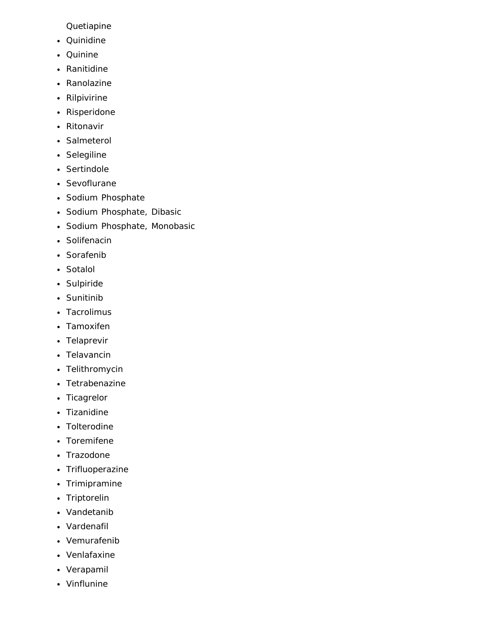Quetiapine

- Quinidine
- Quinine
- Ranitidine
- Ranolazine
- Rilpivirine
- Risperidone
- Ritonavir
- Salmeterol
- Selegiline
- Sertindole
- Sevoflurane
- Sodium Phosphate
- Sodium Phosphate, Dibasic
- Sodium Phosphate, Monobasic
- Solifenacin
- Sorafenib
- Sotalol
- Sulpiride
- Sunitinib
- Tacrolimus
- Tamoxifen
- Telaprevir
- Telavancin
- Telithromycin
- Tetrabenazine
- Ticagrelor
- Tizanidine
- Tolterodine
- Toremifene
- Trazodone
- Trifluoperazine
- Trimipramine
- Triptorelin
- Vandetanib
- Vardenafil
- Vemurafenib
- Venlafaxine
- Verapamil
- Vinflunine